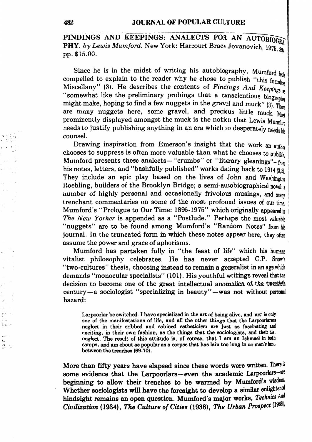FINDINGS AND KEEPINGS: ANALECTS FOR AN AUTOBIOGRAL PHY. *by Lewis Mumford.* New York: Harcourt Brace Jovanovich, 1975. 394 pp. \$15.00.

Since he is in the midst of writing his autobiography, Mumford  $f_{\text{fels}}$ compelled to explain to the reader why he chose to publish "this formless" Miscellany" (3). He describes the contents of *Findings And Keepings* as "somewhat like the preliminary probings that a conscientious biographe might make, hoping to find a few nuggets in the gravel and muck" (3). These are many nuggets here, some gravel, and precious little muck. Most prominently displayed amongst the muck is the notion that Lewis Mumford needs to justify publishing anything in an era which so desperately needs his counsel.

Drawing inspiration from Emerson's insight that the work an author chooses to suppress is often more valuable than what he chooses to publish Mumford presents these analects-" crumbs" or "literary gleanings"  $-$  from his notes, letters, and "bashfully published" works dating back to  $1914 \frac{13}{150}$ They include an epic play based on the lives of John and Washington Roebling, builders of the Brooklyn Bridge; a semi-autobiographical novel; number of highly personal and occasionally frivolous musings, and many trenchant commentaries on some of the most profound issues of our time. : Mumford's "Prologue to Our Time: 1895-1975" which originally appeared in *The New Yorker* is appended as a "Postlude." Perhaps the most valuable "nuggets" are to be found among Mumford's "Random Notes" from his journal. In the truncated form in which these notes appear here, they often assume the power and grace of aphorisms.

Mumford has partaken fully in "the feast of life" which his humane vitalist philosophy celebrates. He has never accepted C.P. Snow's "two-cultures" thesis, choosing instead to remain a generalist in an age which demands "monocular specialists" (101). His youthful writings reveal that the decision to become one of the great intellectual anomalies of the tweetieth century-a sociologist "specializing in beauty"-was not without personal hazard:

Larpoorlar be switched. I have specialized in the art of being alive, and 'art' is only one of the manifestations of life, and all the other things that the Larpoorlaners neglect in their cribbed and cabined estheticism are just as fascinating and exciting, in their own fashion, as the things that the sociologists, and their ilk, neglect. The result of this attitude is, of course, that I am an Ishmael in both camps, and am about as popular as a corpse that has lain too long in no man's land between the trenches (69-70).

More than fifty years have elapsed since these words were written. There is some evidence that the Larpoorlars-even the academic Larpoorlars-are beginning to allow their trenches to be warmed by Mumford's wisdom. Whether sociologists will have the foresight to develop a similar enlightened hindsight remains an open question. Mumford's major works, *Technics And Civilization* (1934), *The Culture of Cities* (1938), *The Urban Prospect* (19681.

, .. ·'

 $\frac{\rho v}{\rho \rho^2}$   $\approx$ 

i.

 $4.2.7$ یو ڈ